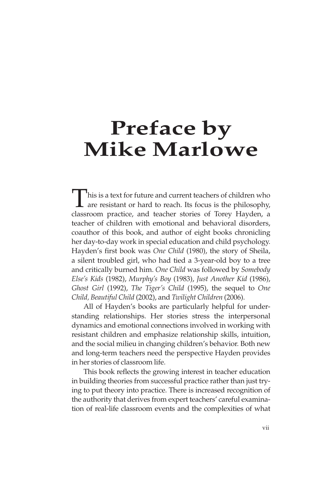## **Preface by Mike Marlowe**

This is a text for future and current teachers of children who are resistant or hard to reach. Its focus is the philosophy, classroom, prectice, and teacher stories of Toray Hayden, a classroom practice, and teacher stories of Torey Hayden, a teacher of children with emotional and behavioral disorders, coauthor of this book, and author of eight books chronicling her day-to-day work in special education and child psychology. Hayden's first book was *One Child* (1980), the story of Sheila, a silent troubled girl, who had tied a 3-year-old boy to a tree and critically burned him. *One Child* was followed by *Somebody Else's Kids* (1982), *Murphy's Boy* (1983), *Just Another Kid* (1986), *Ghost Girl* (1992), *The Tiger's Child* (1995), the sequel to *One Child, Beautiful Child* (2002), and *Twilight Children* (2006).

All of Hayden's books are particularly helpful for understanding relationships. Her stories stress the interpersonal dynamics and emotional connections involved in working with resistant children and emphasize relationship skills, intuition, and the social milieu in changing children's behavior. Both new and long-term teachers need the perspective Hayden provides in her stories of classroom life.

This book reflects the growing interest in teacher education in building theories from successful practice rather than just trying to put theory into practice. There is increased recognition of the authority that derives from expert teachers' careful examination of real-life classroom events and the complexities of what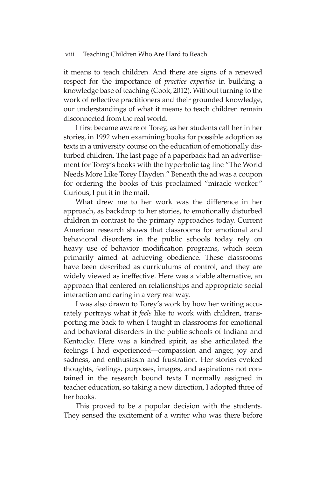## viii Teaching Children Who Are Hard to Reach

it means to teach children. And there are signs of a renewed respect for the importance of *practice expertise* in building a knowledge base of teaching (Cook, 2012). Without turning to the work of reflective practitioners and their grounded knowledge, our understandings of what it means to teach children remain disconnected from the real world.

I first became aware of Torey, as her students call her in her stories, in 1992 when examining books for possible adoption as texts in a university course on the education of emotionally disturbed children. The last page of a paperback had an advertisement for Torey's books with the hyperbolic tag line "The World Needs More Like Torey Hayden." Beneath the ad was a coupon for ordering the books of this proclaimed "miracle worker." Curious, I put it in the mail.

What drew me to her work was the difference in her approach, as backdrop to her stories, to emotionally disturbed children in contrast to the primary approaches today. Current American research shows that classrooms for emotional and behavioral disorders in the public schools today rely on heavy use of behavior modification programs, which seem primarily aimed at achieving obedience. These classrooms have been described as curriculums of control, and they are widely viewed as ineffective. Here was a viable alternative, an approach that centered on relationships and appropriate social interaction and caring in a very real way.

I was also drawn to Torey's work by how her writing accurately portrays what it *feels* like to work with children, transporting me back to when I taught in classrooms for emotional and behavioral disorders in the public schools of Indiana and Kentucky. Here was a kindred spirit, as she articulated the feelings I had experienced—compassion and anger, joy and sadness, and enthusiasm and frustration. Her stories evoked thoughts, feelings, purposes, images, and aspirations not contained in the research bound texts I normally assigned in teacher education, so taking a new direction, I adopted three of her books.

This proved to be a popular decision with the students. They sensed the excitement of a writer who was there before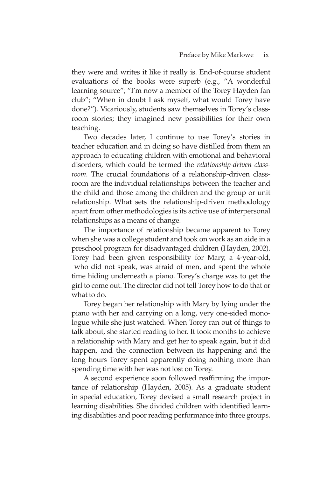they were and writes it like it really is. End-of-course student evaluations of the books were superb (e.g., "A wonderful learning source"; "I'm now a member of the Torey Hayden fan club"; "When in doubt I ask myself, what would Torey have done?"). Vicariously, students saw themselves in Torey's classroom stories; they imagined new possibilities for their own teaching.

Two decades later, I continue to use Torey's stories in teacher education and in doing so have distilled from them an approach to educating children with emotional and behavioral disorders, which could be termed the *relationship-driven classroom.* The crucial foundations of a relationship-driven classroom are the individual relationships between the teacher and the child and those among the children and the group or unit relationship. What sets the relationship-driven methodology apart from other methodologies is its active use of interpersonal relationships as a means of change.

The importance of relationship became apparent to Torey when she was a college student and took on work as an aide in a preschool program for disadvantaged children (Hayden, 2002). Torey had been given responsibility for Mary, a 4-year-old, who did not speak, was afraid of men, and spent the whole time hiding underneath a piano. Torey's charge was to get the girl to come out. The director did not tell Torey how to do that or what to do.

Torey began her relationship with Mary by lying under the piano with her and carrying on a long, very one-sided monologue while she just watched. When Torey ran out of things to talk about, she started reading to her. It took months to achieve a relationship with Mary and get her to speak again, but it did happen, and the connection between its happening and the long hours Torey spent apparently doing nothing more than spending time with her was not lost on Torey.

A second experience soon followed reaffirming the importance of relationship (Hayden, 2005). As a graduate student in special education, Torey devised a small research project in learning disabilities. She divided children with identified learning disabilities and poor reading performance into three groups.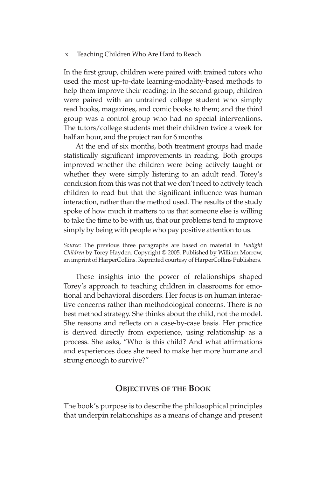x Teaching Children Who Are Hard to Reach

In the first group, children were paired with trained tutors who used the most up-to-date learning-modality-based methods to help them improve their reading; in the second group, children were paired with an untrained college student who simply read books, magazines, and comic books to them; and the third group was a control group who had no special interventions. The tutors/college students met their children twice a week for half an hour, and the project ran for 6 months.

At the end of six months, both treatment groups had made statistically significant improvements in reading. Both groups improved whether the children were being actively taught or whether they were simply listening to an adult read. Torey's conclusion from this was not that we don't need to actively teach children to read but that the significant influence was human interaction, rather than the method used. The results of the study spoke of how much it matters to us that someone else is willing to take the time to be with us, that our problems tend to improve simply by being with people who pay positive attention to us.

*Source:* The previous three paragraphs are based on material in *Twilight Children* by Torey Hayden. Copyright © 2005. Published by William Morrow, an imprint of HarperCollins. Reprinted courtesy of HarperCollins Publishers.

These insights into the power of relationships shaped Torey's approach to teaching children in classrooms for emotional and behavioral disorders. Her focus is on human interactive concerns rather than methodological concerns. There is no best method strategy. She thinks about the child, not the model. She reasons and reflects on a case-by-case basis. Her practice is derived directly from experience, using relationship as a process. She asks, "Who is this child? And what affirmations and experiences does she need to make her more humane and strong enough to survive?"

## **OBJECTIVES OF THE BOOK**

The book's purpose is to describe the philosophical principles that underpin relationships as a means of change and present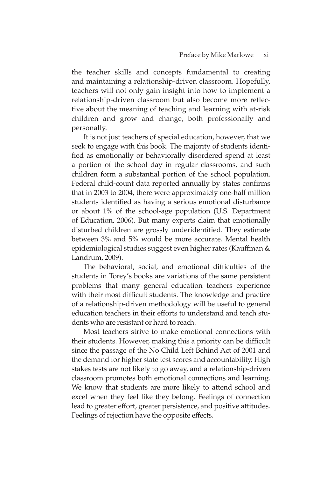the teacher skills and concepts fundamental to creating and maintaining a relationship-driven classroom. Hopefully, teachers will not only gain insight into how to implement a relationship-driven classroom but also become more reflective about the meaning of teaching and learning with at-risk children and grow and change, both professionally and personally.

It is not just teachers of special education, however, that we seek to engage with this book. The majority of students identified as emotionally or behaviorally disordered spend at least a portion of the school day in regular classrooms, and such children form a substantial portion of the school population. Federal child-count data reported annually by states confirms that in 2003 to 2004, there were approximately one-half million students identified as having a serious emotional disturbance or about 1% of the school-age population (U.S. Department of Education, 2006). But many experts claim that emotionally disturbed children are grossly underidentified. They estimate between 3% and 5% would be more accurate. Mental health epidemiological studies suggest even higher rates (Kauffman & Landrum, 2009).

The behavioral, social, and emotional difficulties of the students in Torey's books are variations of the same persistent problems that many general education teachers experience with their most difficult students. The knowledge and practice of a relationship-driven methodology will be useful to general education teachers in their efforts to understand and teach students who are resistant or hard to reach.

Most teachers strive to make emotional connections with their students. However, making this a priority can be difficult since the passage of the No Child Left Behind Act of 2001 and the demand for higher state test scores and accountability. High stakes tests are not likely to go away, and a relationship-driven classroom promotes both emotional connections and learning. We know that students are more likely to attend school and excel when they feel like they belong. Feelings of connection lead to greater effort, greater persistence, and positive attitudes. Feelings of rejection have the opposite effects.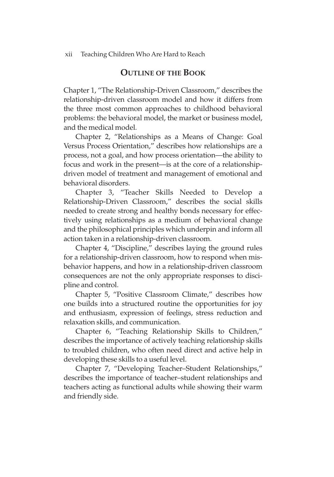xii Teaching Children Who Are Hard to Reach

## **OUTLINE OF THE BOOK**

Chapter 1, "The Relationship-Driven Classroom," describes the relationship-driven classroom model and how it differs from the three most common approaches to childhood behavioral problems: the behavioral model, the market or business model, and the medical model.

Chapter 2, "Relationships as a Means of Change: Goal Versus Process Orientation," describes how relationships are a process, not a goal, and how process orientation—the ability to focus and work in the present—is at the core of a relationshipdriven model of treatment and management of emotional and behavioral disorders.

Chapter 3, "Teacher Skills Needed to Develop a Relationship-Driven Classroom," describes the social skills needed to create strong and healthy bonds necessary for effectively using relationships as a medium of behavioral change and the philosophical principles which underpin and inform all action taken in a relationship-driven classroom.

Chapter 4, "Discipline," describes laying the ground rules for a relationship-driven classroom, how to respond when misbehavior happens, and how in a relationship-driven classroom consequences are not the only appropriate responses to discipline and control.

Chapter 5, "Positive Classroom Climate," describes how one builds into a structured routine the opportunities for joy and enthusiasm, expression of feelings, stress reduction and relaxation skills, and communication.

Chapter 6, "Teaching Relationship Skills to Children," describes the importance of actively teaching relationship skills to troubled children, who often need direct and active help in developing these skills to a useful level.

Chapter 7, "Developing Teacher–Student Relationships," describes the importance of teacher–student relationships and teachers acting as functional adults while showing their warm and friendly side.